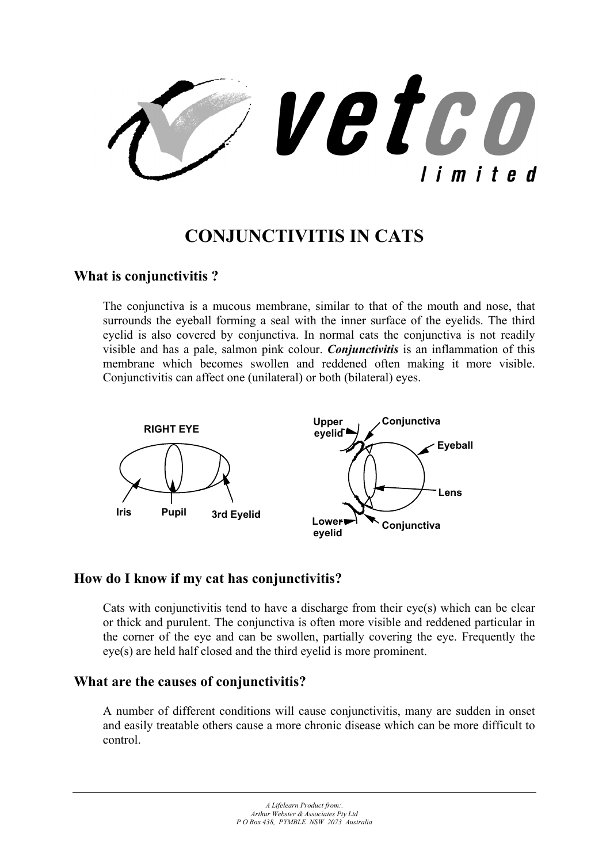vetco limited

# **CONJUNCTIVITIS IN CATS**

### **What is conjunctivitis ?**

The conjunctiva is a mucous membrane, similar to that of the mouth and nose, that surrounds the eyeball forming a seal with the inner surface of the eyelids. The third evelid is also covered by conjunctiva. In normal cats the conjunctiva is not readily visible and has a pale, salmon pink colour. *Conjunctivitis* is an inflammation of this membrane which becomes swollen and reddened often making it more visible. Conjunctivitis can affect one (unilateral) or both (bilateral) eyes.



## **How do I know if my cat has conjunctivitis?**

Cats with conjunctivitis tend to have a discharge from their eye(s) which can be clear or thick and purulent. The conjunctiva is often more visible and reddened particular in the corner of the eye and can be swollen, partially covering the eye. Frequently the eye(s) are held half closed and the third eyelid is more prominent.

#### **What are the causes of conjunctivitis?**

A number of different conditions will cause conjunctivitis, many are sudden in onset and easily treatable others cause a more chronic disease which can be more difficult to control.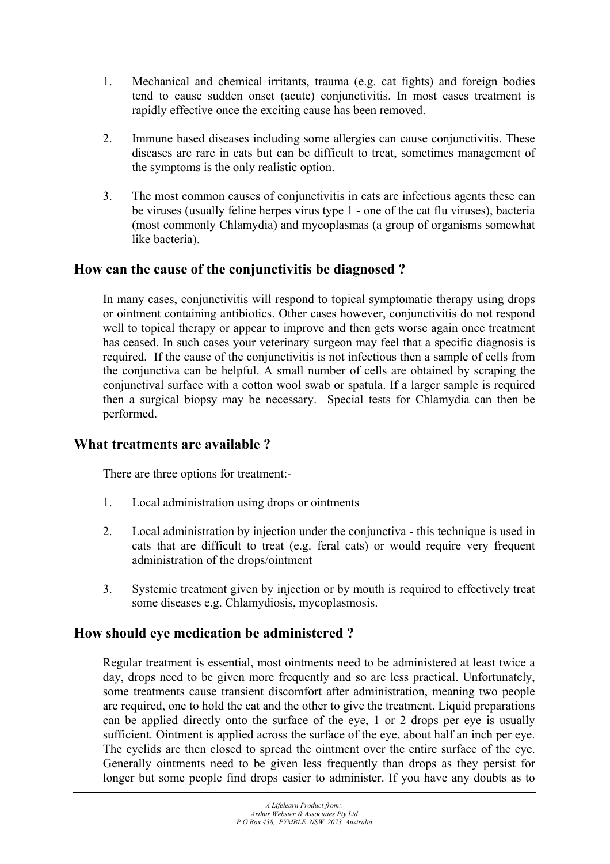- 1. Mechanical and chemical irritants, trauma (e.g. cat fights) and foreign bodies tend to cause sudden onset (acute) conjunctivitis. In most cases treatment is rapidly effective once the exciting cause has been removed.
- 2. Immune based diseases including some allergies can cause conjunctivitis. These diseases are rare in cats but can be difficult to treat, sometimes management of the symptoms is the only realistic option.
- 3. The most common causes of conjunctivitis in cats are infectious agents these can be viruses (usually feline herpes virus type 1 - one of the cat flu viruses), bacteria (most commonly Chlamydia) and mycoplasmas (a group of organisms somewhat like bacteria).

# **How can the cause of the conjunctivitis be diagnosed ?**

In many cases, conjunctivitis will respond to topical symptomatic therapy using drops or ointment containing antibiotics. Other cases however, conjunctivitis do not respond well to topical therapy or appear to improve and then gets worse again once treatment has ceased. In such cases your veterinary surgeon may feel that a specific diagnosis is required. If the cause of the conjunctivitis is not infectious then a sample of cells from the conjunctiva can be helpful. A small number of cells are obtained by scraping the conjunctival surface with a cotton wool swab or spatula. If a larger sample is required then a surgical biopsy may be necessary. Special tests for Chlamydia can then be performed.

# **What treatments are available ?**

There are three options for treatment:-

- 1. Local administration using drops or ointments
- 2. Local administration by injection under the conjunctiva this technique is used in cats that are difficult to treat (e.g. feral cats) or would require very frequent administration of the drops/ointment
- 3. Systemic treatment given by injection or by mouth is required to effectively treat some diseases e.g. Chlamydiosis, mycoplasmosis.

# **How should eye medication be administered ?**

Regular treatment is essential, most ointments need to be administered at least twice a day, drops need to be given more frequently and so are less practical. Unfortunately, some treatments cause transient discomfort after administration, meaning two people are required, one to hold the cat and the other to give the treatment. Liquid preparations can be applied directly onto the surface of the eye, 1 or 2 drops per eye is usually sufficient. Ointment is applied across the surface of the eye, about half an inch per eye. The eyelids are then closed to spread the ointment over the entire surface of the eye. Generally ointments need to be given less frequently than drops as they persist for longer but some people find drops easier to administer. If you have any doubts as to